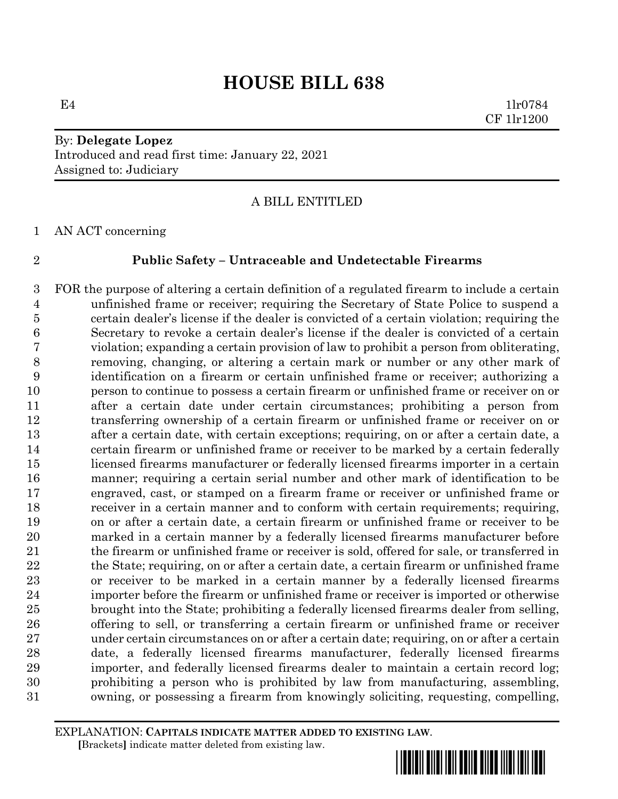By: **Delegate Lopez** Introduced and read first time: January 22, 2021 Assigned to: Judiciary

## A BILL ENTITLED

AN ACT concerning

#### **Public Safety – Untraceable and Undetectable Firearms**

 FOR the purpose of altering a certain definition of a regulated firearm to include a certain unfinished frame or receiver; requiring the Secretary of State Police to suspend a certain dealer's license if the dealer is convicted of a certain violation; requiring the Secretary to revoke a certain dealer's license if the dealer is convicted of a certain violation; expanding a certain provision of law to prohibit a person from obliterating, removing, changing, or altering a certain mark or number or any other mark of identification on a firearm or certain unfinished frame or receiver; authorizing a person to continue to possess a certain firearm or unfinished frame or receiver on or after a certain date under certain circumstances; prohibiting a person from transferring ownership of a certain firearm or unfinished frame or receiver on or after a certain date, with certain exceptions; requiring, on or after a certain date, a certain firearm or unfinished frame or receiver to be marked by a certain federally licensed firearms manufacturer or federally licensed firearms importer in a certain manner; requiring a certain serial number and other mark of identification to be engraved, cast, or stamped on a firearm frame or receiver or unfinished frame or receiver in a certain manner and to conform with certain requirements; requiring, on or after a certain date, a certain firearm or unfinished frame or receiver to be marked in a certain manner by a federally licensed firearms manufacturer before the firearm or unfinished frame or receiver is sold, offered for sale, or transferred in 22 the State; requiring, on or after a certain date, a certain firearm or unfinished frame or receiver to be marked in a certain manner by a federally licensed firearms importer before the firearm or unfinished frame or receiver is imported or otherwise brought into the State; prohibiting a federally licensed firearms dealer from selling, offering to sell, or transferring a certain firearm or unfinished frame or receiver under certain circumstances on or after a certain date; requiring, on or after a certain date, a federally licensed firearms manufacturer, federally licensed firearms importer, and federally licensed firearms dealer to maintain a certain record log; prohibiting a person who is prohibited by law from manufacturing, assembling, owning, or possessing a firearm from knowingly soliciting, requesting, compelling,

EXPLANATION: **CAPITALS INDICATE MATTER ADDED TO EXISTING LAW**.  **[**Brackets**]** indicate matter deleted from existing law.

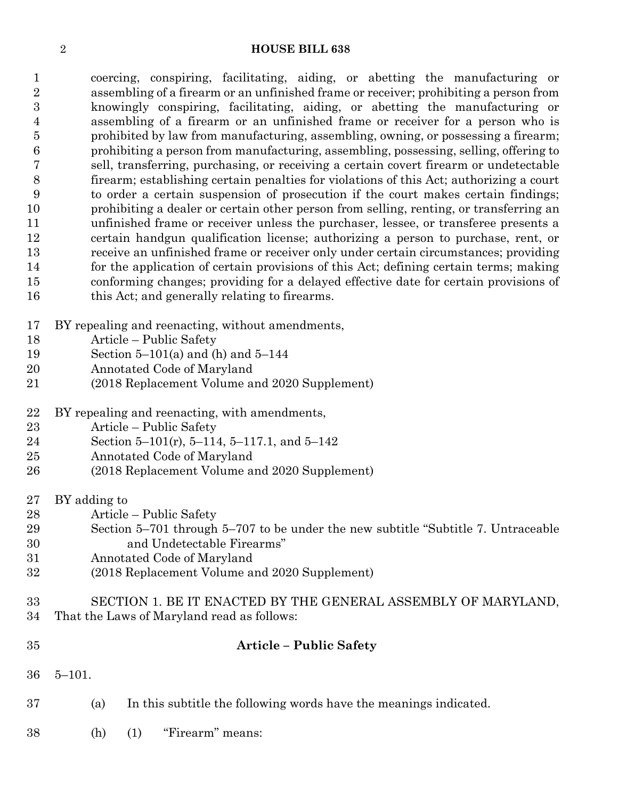coercing, conspiring, facilitating, aiding, or abetting the manufacturing or assembling of a firearm or an unfinished frame or receiver; prohibiting a person from knowingly conspiring, facilitating, aiding, or abetting the manufacturing or assembling of a firearm or an unfinished frame or receiver for a person who is prohibited by law from manufacturing, assembling, owning, or possessing a firearm; prohibiting a person from manufacturing, assembling, possessing, selling, offering to sell, transferring, purchasing, or receiving a certain covert firearm or undetectable firearm; establishing certain penalties for violations of this Act; authorizing a court to order a certain suspension of prosecution if the court makes certain findings; prohibiting a dealer or certain other person from selling, renting, or transferring an unfinished frame or receiver unless the purchaser, lessee, or transferee presents a certain handgun qualification license; authorizing a person to purchase, rent, or receive an unfinished frame or receiver only under certain circumstances; providing for the application of certain provisions of this Act; defining certain terms; making conforming changes; providing for a delayed effective date for certain provisions of 16 this Act; and generally relating to firearms.

- BY repealing and reenacting, without amendments,
- Article Public Safety
- Section 5–101(a) and (h) and 5–144
- Annotated Code of Maryland
- (2018 Replacement Volume and 2020 Supplement)
- BY repealing and reenacting, with amendments,
- Article Public Safety
- Section 5–101(r), 5–114, 5–117.1, and 5–142
- Annotated Code of Maryland
- (2018 Replacement Volume and 2020 Supplement)
- BY adding to
- Article Public Safety
- Section 5–701 through 5–707 to be under the new subtitle "Subtitle 7. Untraceable and Undetectable Firearms"
- Annotated Code of Maryland
- (2018 Replacement Volume and 2020 Supplement)

# SECTION 1. BE IT ENACTED BY THE GENERAL ASSEMBLY OF MARYLAND, That the Laws of Maryland read as follows:

| 35 |                     | <b>Article – Public Safety</b>                                    |
|----|---------------------|-------------------------------------------------------------------|
|    | $36 \quad 5 - 101.$ |                                                                   |
| 37 | (a)                 | In this subtitle the following words have the meanings indicated. |

(h) (1) "Firearm" means: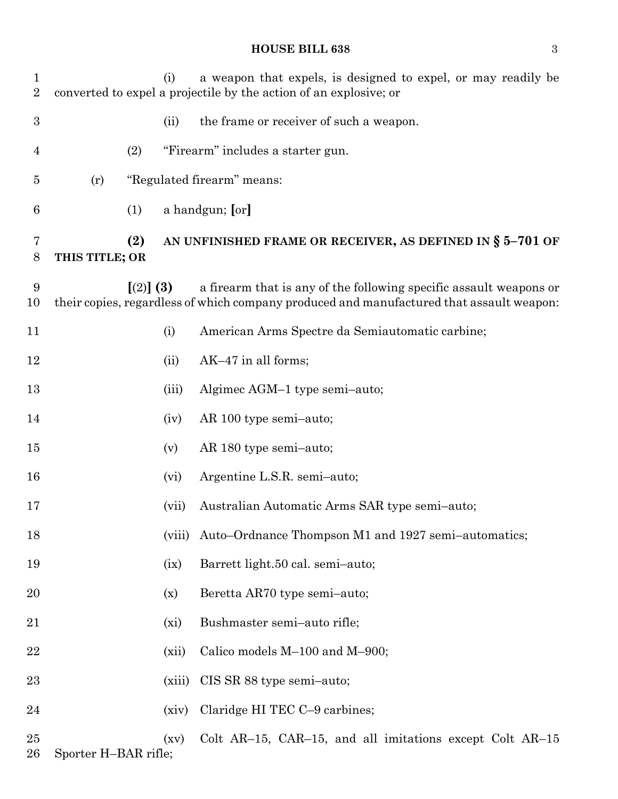| $\mathbf{1}$<br>$\sqrt{2}$ |                      |                         | (i)    | a weapon that expels, is designed to expel, or may readily be<br>converted to expel a projectile by the action of an explosive; or                             |
|----------------------------|----------------------|-------------------------|--------|----------------------------------------------------------------------------------------------------------------------------------------------------------------|
| $\boldsymbol{3}$           |                      |                         | (ii)   | the frame or receiver of such a weapon.                                                                                                                        |
| $\overline{4}$             |                      | (2)                     |        | "Firearm" includes a starter gun.                                                                                                                              |
| $\overline{5}$             | (r)                  |                         |        | "Regulated firearm" means:                                                                                                                                     |
| 6                          |                      | (1)                     |        | a handgun; [or]                                                                                                                                                |
| 7<br>8                     | THIS TITLE; OR       | (2)                     |        | AN UNFINISHED FRAME OR RECEIVER, AS DEFINED IN $\S$ 5-701 OF                                                                                                   |
| 9<br>10                    |                      | $\lceil (2) \rceil (3)$ |        | a firearm that is any of the following specific assault weapons or<br>their copies, regardless of which company produced and manufactured that assault weapon: |
| 11                         |                      |                         | (i)    | American Arms Spectre da Semiautomatic carbine;                                                                                                                |
| 12                         |                      |                         | (ii)   | AK-47 in all forms;                                                                                                                                            |
| 13                         |                      |                         | (iii)  | Algimec AGM-1 type semi-auto;                                                                                                                                  |
| 14                         |                      |                         | (iv)   | AR 100 type semi-auto;                                                                                                                                         |
| 15                         |                      |                         | (v)    | AR 180 type semi-auto;                                                                                                                                         |
| 16                         |                      |                         | (vi)   | Argentine L.S.R. semi-auto;                                                                                                                                    |
| 17                         |                      |                         | (vii)  | Australian Automatic Arms SAR type semi-auto;                                                                                                                  |
| 18                         |                      |                         | (viii) | Auto-Ordnance Thompson M1 and 1927 semi-automatics;                                                                                                            |
| 19                         |                      |                         | (ix)   | Barrett light.50 cal. semi-auto;                                                                                                                               |
| 20                         |                      |                         | (x)    | Beretta AR70 type semi-auto;                                                                                                                                   |
| 21                         |                      |                         | (xi)   | Bushmaster semi-auto rifle;                                                                                                                                    |
| 22                         |                      |                         | (xii)  | Calico models M-100 and M-900;                                                                                                                                 |
| 23                         |                      |                         | (xiii) | CIS SR 88 type semi-auto;                                                                                                                                      |
| 24                         |                      |                         | (xiv)  | Claridge HI TEC C-9 carbines;                                                                                                                                  |
| 25<br>26                   | Sporter H-BAR rifle; |                         | (xv)   | Colt AR-15, CAR-15, and all imitations except Colt $AR-15$                                                                                                     |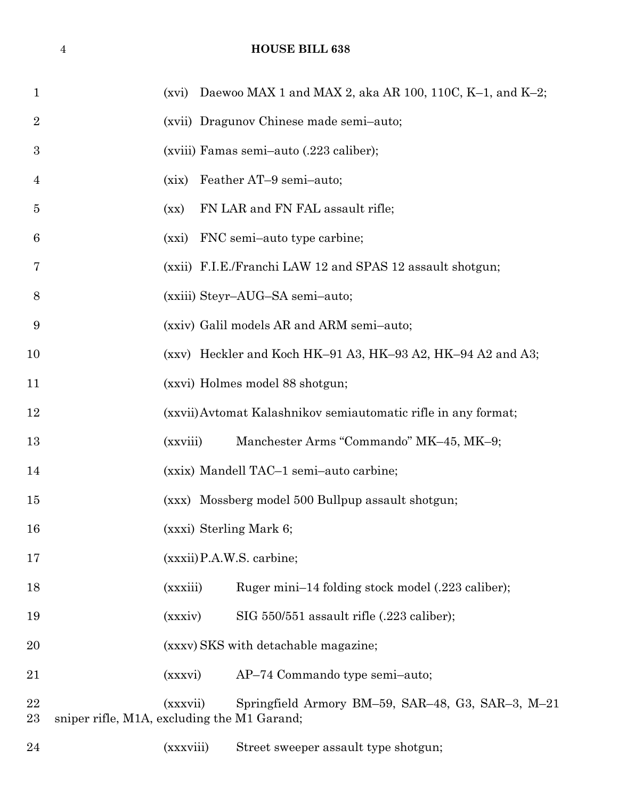| 1              | (xvi) Daewoo MAX 1 and MAX 2, aka AR 100, 110C, K-1, and K-2;                                                |  |
|----------------|--------------------------------------------------------------------------------------------------------------|--|
| $\overline{2}$ | (xvii) Dragunov Chinese made semi-auto;                                                                      |  |
| 3              | (xviii) Famas semi-auto (.223 caliber);                                                                      |  |
| 4              | Feather AT-9 semi-auto;<br>(xix)                                                                             |  |
| $\overline{5}$ | FN LAR and FN FAL assault rifle;<br>(xx)                                                                     |  |
| 6              | FNC semi-auto type carbine;<br>(xxi)                                                                         |  |
| 7              | (xxii) F.I.E./Franchi LAW 12 and SPAS 12 assault shotgun;                                                    |  |
| 8              | (xxiii) Steyr-AUG-SA semi-auto;                                                                              |  |
| 9              | (xxiv) Galil models AR and ARM semi-auto;                                                                    |  |
| 10             | (xxv) Heckler and Koch HK-91 A3, HK-93 A2, HK-94 A2 and A3;                                                  |  |
| 11             | (xxvi) Holmes model 88 shotgun;                                                                              |  |
| 12             | (xxvii) Avtomat Kalashnikov semiautomatic rifle in any format;                                               |  |
| 13             | Manchester Arms "Commando" MK-45, MK-9;<br>(xxviii)                                                          |  |
| 14             | (xxix) Mandell TAC-1 semi-auto carbine;                                                                      |  |
| 15             | (xxx) Mossberg model 500 Bullpup assault shotgun;                                                            |  |
| 16             | (xxxi) Sterling Mark 6;                                                                                      |  |
| 17             | $(xxxii)$ P.A.W.S. carbine;                                                                                  |  |
| 18             | (xxxiii)<br>Ruger mini-14 folding stock model (.223 caliber);                                                |  |
| 19             | SIG 550/551 assault rifle (.223 caliber);<br>(xxxiv)                                                         |  |
| 20             | (xxxv) SKS with detachable magazine;                                                                         |  |
| 21             | AP-74 Commando type semi-auto;<br>(xxxvi)                                                                    |  |
| 22<br>23       | Springfield Armory BM-59, SAR-48, G3, SAR-3, M-21<br>(xxxvii)<br>sniper rifle, M1A, excluding the M1 Garand; |  |
| 24             | (xxxviii)<br>Street sweeper assault type shotgun;                                                            |  |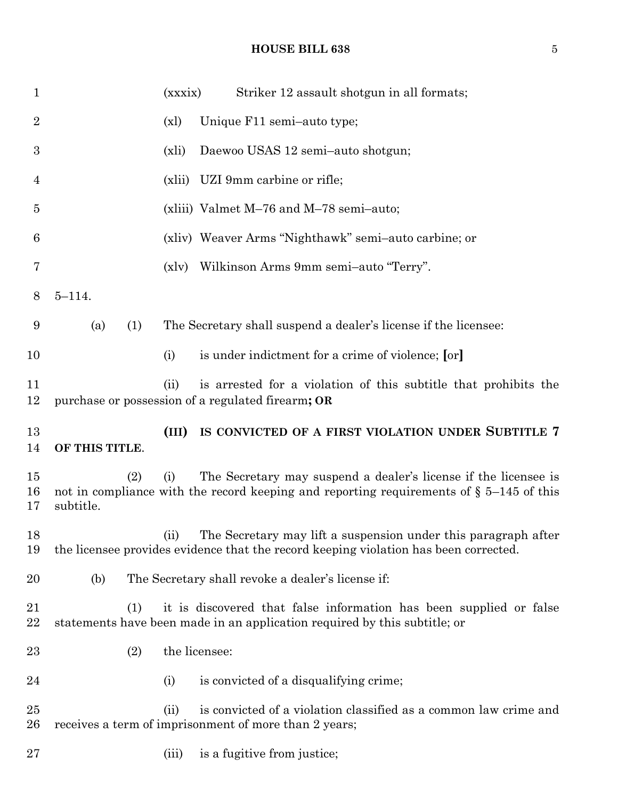| $\mathbf{1}$   |                  | (xxxix)       | Striker 12 assault shotgun in all formats;                                                                                                                    |
|----------------|------------------|---------------|---------------------------------------------------------------------------------------------------------------------------------------------------------------|
| $\overline{2}$ |                  | (x)           | Unique F11 semi-auto type;                                                                                                                                    |
| 3              |                  | (xli)         | Daewoo USAS 12 semi-auto shotgun;                                                                                                                             |
| 4              |                  | (xli)         | UZI 9mm carbine or rifle;                                                                                                                                     |
| $\overline{5}$ |                  |               | (xliii) Valmet M-76 and M-78 semi-auto;                                                                                                                       |
| 6              |                  |               | (xliv) Weaver Arms "Nighthawk" semi-auto carbine; or                                                                                                          |
| 7              |                  | (x v)         | Wilkinson Arms 9mm semi-auto "Terry".                                                                                                                         |
| 8              | $5 - 114.$       |               |                                                                                                                                                               |
| 9              | (a)<br>(1)       |               | The Secretary shall suspend a dealer's license if the licensee:                                                                                               |
| 10             |                  | (i)           | is under indictment for a crime of violence; [or]                                                                                                             |
| 11<br>12       |                  | (ii)          | is arrested for a violation of this subtitle that prohibits the<br>purchase or possession of a regulated firearm; OR                                          |
|                |                  |               |                                                                                                                                                               |
| 13<br>14       | OF THIS TITLE.   | (III)         | IS CONVICTED OF A FIRST VIOLATION UNDER SUBTITLE 7                                                                                                            |
| 15<br>16<br>17 | (2)<br>subtitle. | (i)           | The Secretary may suspend a dealer's license if the licensee is<br>not in compliance with the record keeping and reporting requirements of $\S$ 5-145 of this |
| 18<br>19       |                  |               | (ii) The Secretary may lift a suspension under this paragraph after<br>the licensee provides evidence that the record keeping violation has been corrected.   |
| 20             | (b)              |               | The Secretary shall revoke a dealer's license if:                                                                                                             |
| 21<br>$22\,$   | (1)              |               | it is discovered that false information has been supplied or false<br>statements have been made in an application required by this subtitle; or               |
| 23             | (2)              | the licensee: |                                                                                                                                                               |
| 24             |                  | (i)           | is convicted of a disqualifying crime;                                                                                                                        |
| 25<br>26       |                  | (ii)          | is convicted of a violation classified as a common law crime and<br>receives a term of imprisonment of more than 2 years;                                     |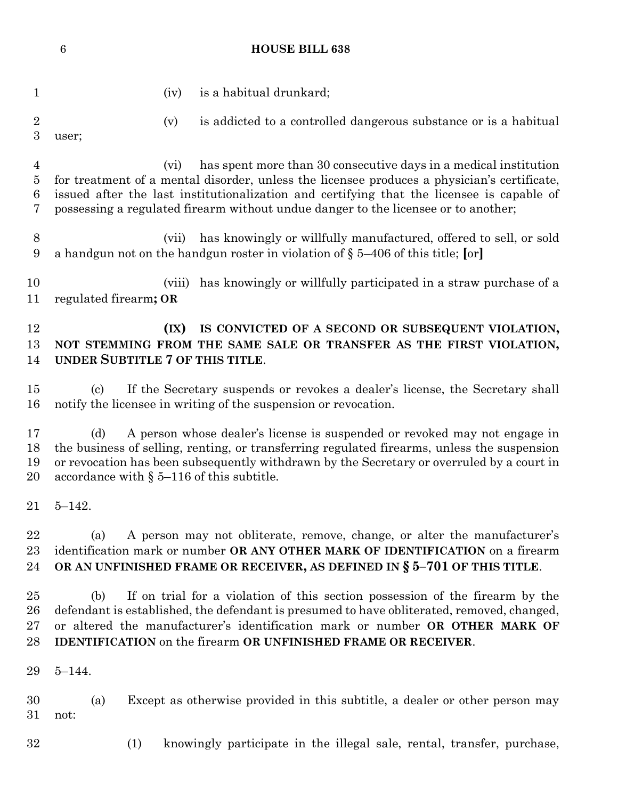1 (iv) is a habitual drunkard; (v) is addicted to a controlled dangerous substance or is a habitual user; (vi) has spent more than 30 consecutive days in a medical institution for treatment of a mental disorder, unless the licensee produces a physician's certificate, issued after the last institutionalization and certifying that the licensee is capable of possessing a regulated firearm without undue danger to the licensee or to another; (vii) has knowingly or willfully manufactured, offered to sell, or sold a handgun not on the handgun roster in violation of § 5–406 of this title; **[**or**]** (viii) has knowingly or willfully participated in a straw purchase of a regulated firearm**; OR (IX) IS CONVICTED OF A SECOND OR SUBSEQUENT VIOLATION, NOT STEMMING FROM THE SAME SALE OR TRANSFER AS THE FIRST VIOLATION, UNDER SUBTITLE 7 OF THIS TITLE**. (c) If the Secretary suspends or revokes a dealer's license, the Secretary shall notify the licensee in writing of the suspension or revocation. (d) A person whose dealer's license is suspended or revoked may not engage in the business of selling, renting, or transferring regulated firearms, unless the suspension or revocation has been subsequently withdrawn by the Secretary or overruled by a court in accordance with § 5–116 of this subtitle. 5–142. (a) A person may not obliterate, remove, change, or alter the manufacturer's identification mark or number **OR ANY OTHER MARK OF IDENTIFICATION** on a firearm **OR AN UNFINISHED FRAME OR RECEIVER, AS DEFINED IN § 5–701 OF THIS TITLE**. (b) If on trial for a violation of this section possession of the firearm by the defendant is established, the defendant is presumed to have obliterated, removed, changed, or altered the manufacturer's identification mark or number **OR OTHER MARK OF IDENTIFICATION** on the firearm **OR UNFINISHED FRAME OR RECEIVER**. 5–144. (a) Except as otherwise provided in this subtitle, a dealer or other person may not: (1) knowingly participate in the illegal sale, rental, transfer, purchase,

**HOUSE BILL 638**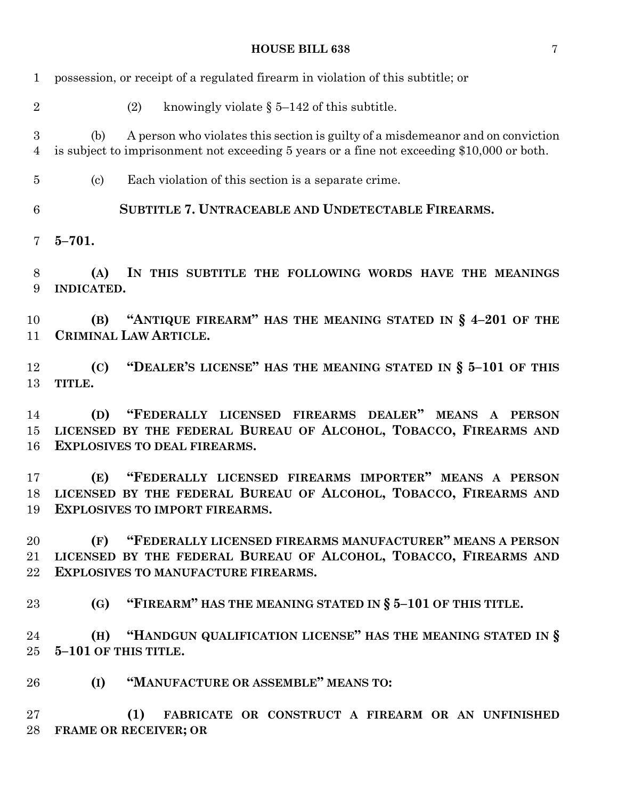| $\mathbf{1}$                       | possession, or receipt of a regulated firearm in violation of this subtitle; or                                                                                                      |
|------------------------------------|--------------------------------------------------------------------------------------------------------------------------------------------------------------------------------------|
| $\overline{2}$                     | knowingly violate $\S 5-142$ of this subtitle.<br>(2)                                                                                                                                |
| $\boldsymbol{3}$<br>$\overline{4}$ | A person who violates this section is guilty of a misdemeanor and on conviction<br>(b)<br>is subject to imprisonment not exceeding 5 years or a fine not exceeding \$10,000 or both. |
| 5                                  | Each violation of this section is a separate crime.<br>$\left( \mathrm{c}\right)$                                                                                                    |
| 6                                  | SUBTITLE 7. UNTRACEABLE AND UNDETECTABLE FIREARMS.                                                                                                                                   |
| 7                                  | $5 - 701.$                                                                                                                                                                           |
| 8<br>9                             | IN THIS SUBTITLE THE FOLLOWING WORDS HAVE THE MEANINGS<br>(A)<br>INDICATED.                                                                                                          |
| 10<br>11                           | (B) "ANTIQUE FIREARM" HAS THE MEANING STATED IN $\S$ 4-201 OF THE<br>CRIMINAL LAW ARTICLE.                                                                                           |
| 12<br>13                           | "DEALER'S LICENSE" HAS THE MEANING STATED IN § 5-101 OF THIS<br>(C)<br>TITLE.                                                                                                        |
| 14<br>15<br>16                     | "FEDERALLY LICENSED FIREARMS DEALER" MEANS A PERSON<br>(D)<br>LICENSED BY THE FEDERAL BUREAU OF ALCOHOL, TOBACCO, FIREARMS AND<br><b>EXPLOSIVES TO DEAL FIREARMS.</b>                |
| 17<br>18<br>19                     | "FEDERALLY LICENSED FIREARMS IMPORTER" MEANS A PERSON<br>(E)<br>LICENSED BY THE FEDERAL BUREAU OF ALCOHOL, TOBACCO, FIREARMS AND<br><b>EXPLOSIVES TO IMPORT FIREARMS.</b>            |
| 20<br>21<br>22                     | (F) "FEDERALLY LICENSED FIREARMS MANUFACTURER" MEANS A PERSON<br>LICENSED BY THE FEDERAL BUREAU OF ALCOHOL, TOBACCO, FIREARMS AND<br><b>EXPLOSIVES TO MANUFACTURE FIREARMS.</b>      |
| 23                                 | "FIREARM" HAS THE MEANING STATED IN $\S$ 5-101 OF THIS TITLE.<br>(G)                                                                                                                 |
| 24<br>25                           | "HANDGUN QUALIFICATION LICENSE" HAS THE MEANING STATED IN §<br>(H)<br>5-101 OF THIS TITLE.                                                                                           |
| 26                                 | "MANUFACTURE OR ASSEMBLE" MEANS TO:<br>(I)                                                                                                                                           |
| 27<br>28                           | (1)<br>FABRICATE OR CONSTRUCT A FIREARM OR AN UNFINISHED<br><b>FRAME OR RECEIVER; OR</b>                                                                                             |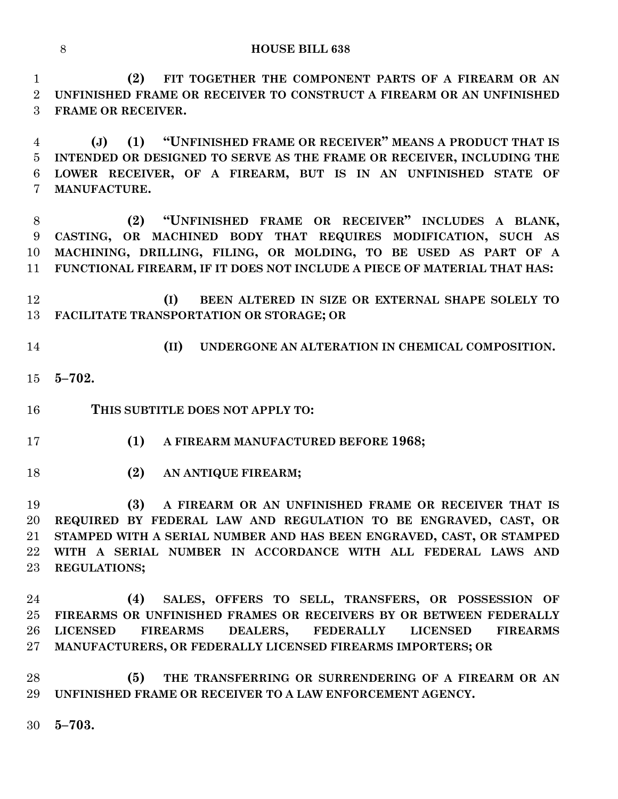**(2) FIT TOGETHER THE COMPONENT PARTS OF A FIREARM OR AN UNFINISHED FRAME OR RECEIVER TO CONSTRUCT A FIREARM OR AN UNFINISHED FRAME OR RECEIVER.**

 **(J) (1) "UNFINISHED FRAME OR RECEIVER" MEANS A PRODUCT THAT IS INTENDED OR DESIGNED TO SERVE AS THE FRAME OR RECEIVER, INCLUDING THE LOWER RECEIVER, OF A FIREARM, BUT IS IN AN UNFINISHED STATE OF MANUFACTURE.**

 **(2) "UNFINISHED FRAME OR RECEIVER" INCLUDES A BLANK, CASTING, OR MACHINED BODY THAT REQUIRES MODIFICATION, SUCH AS MACHINING, DRILLING, FILING, OR MOLDING, TO BE USED AS PART OF A FUNCTIONAL FIREARM, IF IT DOES NOT INCLUDE A PIECE OF MATERIAL THAT HAS:**

 **(I) BEEN ALTERED IN SIZE OR EXTERNAL SHAPE SOLELY TO FACILITATE TRANSPORTATION OR STORAGE; OR**

- 
- **(II) UNDERGONE AN ALTERATION IN CHEMICAL COMPOSITION.**
- **5–702.**
- **THIS SUBTITLE DOES NOT APPLY TO:**
- **(1) A FIREARM MANUFACTURED BEFORE 1968;**
- **(2) AN ANTIQUE FIREARM;**

 **(3) A FIREARM OR AN UNFINISHED FRAME OR RECEIVER THAT IS REQUIRED BY FEDERAL LAW AND REGULATION TO BE ENGRAVED, CAST, OR STAMPED WITH A SERIAL NUMBER AND HAS BEEN ENGRAVED, CAST, OR STAMPED WITH A SERIAL NUMBER IN ACCORDANCE WITH ALL FEDERAL LAWS AND REGULATIONS;**

 **(4) SALES, OFFERS TO SELL, TRANSFERS, OR POSSESSION OF FIREARMS OR UNFINISHED FRAMES OR RECEIVERS BY OR BETWEEN FEDERALLY LICENSED FIREARMS DEALERS, FEDERALLY LICENSED FIREARMS MANUFACTURERS, OR FEDERALLY LICENSED FIREARMS IMPORTERS; OR** 

 **(5) THE TRANSFERRING OR SURRENDERING OF A FIREARM OR AN UNFINISHED FRAME OR RECEIVER TO A LAW ENFORCEMENT AGENCY.**

**5–703.**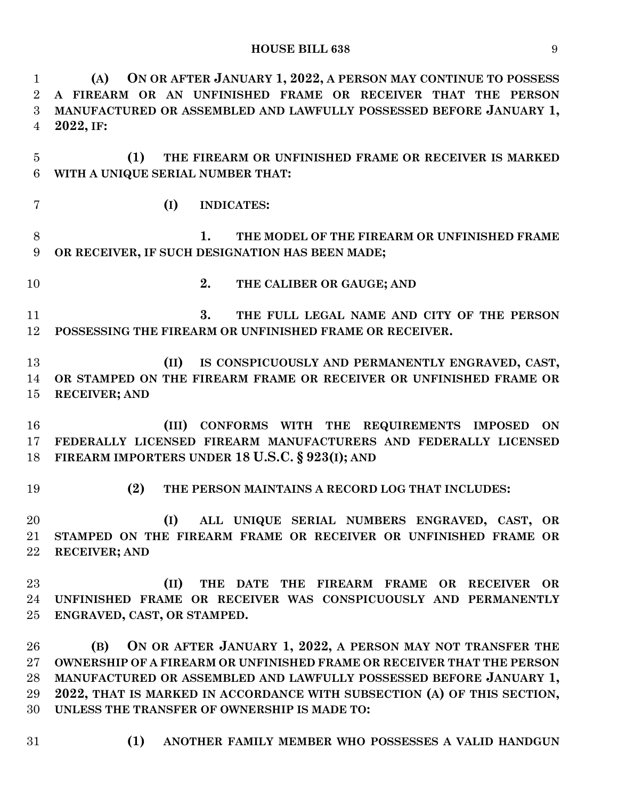**(A) ON OR AFTER JANUARY 1, 2022, A PERSON MAY CONTINUE TO POSSESS A FIREARM OR AN UNFINISHED FRAME OR RECEIVER THAT THE PERSON MANUFACTURED OR ASSEMBLED AND LAWFULLY POSSESSED BEFORE JANUARY 1, 2022, IF: (1) THE FIREARM OR UNFINISHED FRAME OR RECEIVER IS MARKED WITH A UNIQUE SERIAL NUMBER THAT: (I) INDICATES: 1. THE MODEL OF THE FIREARM OR UNFINISHED FRAME OR RECEIVER, IF SUCH DESIGNATION HAS BEEN MADE; 2. THE CALIBER OR GAUGE; AND 3. THE FULL LEGAL NAME AND CITY OF THE PERSON POSSESSING THE FIREARM OR UNFINISHED FRAME OR RECEIVER. (II) IS CONSPICUOUSLY AND PERMANENTLY ENGRAVED, CAST, OR STAMPED ON THE FIREARM FRAME OR RECEIVER OR UNFINISHED FRAME OR RECEIVER; AND (III) CONFORMS WITH THE REQUIREMENTS IMPOSED ON FEDERALLY LICENSED FIREARM MANUFACTURERS AND FEDERALLY LICENSED FIREARM IMPORTERS UNDER 18 U.S.C. § 923(I); AND (2) THE PERSON MAINTAINS A RECORD LOG THAT INCLUDES: (I) ALL UNIQUE SERIAL NUMBERS ENGRAVED, CAST, OR STAMPED ON THE FIREARM FRAME OR RECEIVER OR UNFINISHED FRAME OR RECEIVER; AND (II) THE DATE THE FIREARM FRAME OR RECEIVER OR UNFINISHED FRAME OR RECEIVER WAS CONSPICUOUSLY AND PERMANENTLY ENGRAVED, CAST, OR STAMPED. (B) ON OR AFTER JANUARY 1, 2022, A PERSON MAY NOT TRANSFER THE OWNERSHIP OF A FIREARM OR UNFINISHED FRAME OR RECEIVER THAT THE PERSON MANUFACTURED OR ASSEMBLED AND LAWFULLY POSSESSED BEFORE JANUARY 1, 2022, THAT IS MARKED IN ACCORDANCE WITH SUBSECTION (A) OF THIS SECTION, UNLESS THE TRANSFER OF OWNERSHIP IS MADE TO:**

**(1) ANOTHER FAMILY MEMBER WHO POSSESSES A VALID HANDGUN**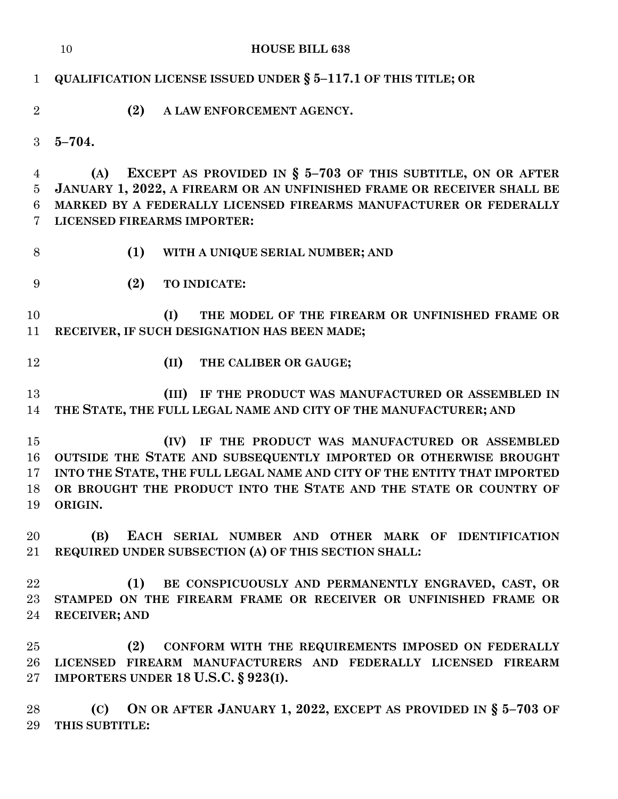|                | <b>HOUSE BILL 638</b><br>10                                                                                               |
|----------------|---------------------------------------------------------------------------------------------------------------------------|
| $\mathbf{1}$   | QUALIFICATION LICENSE ISSUED UNDER $\S$ 5-117.1 OF THIS TITLE; OR                                                         |
| $\overline{2}$ | (2)<br>A LAW ENFORCEMENT AGENCY.                                                                                          |
| 3              | $5 - 704.$                                                                                                                |
| 4              | EXCEPT AS PROVIDED IN $\S$ 5-703 OF THIS SUBTITLE, ON OR AFTER<br>(A)                                                     |
| 5              | JANUARY 1, 2022, A FIREARM OR AN UNFINISHED FRAME OR RECEIVER SHALL BE                                                    |
| 6<br>7         | MARKED BY A FEDERALLY LICENSED FIREARMS MANUFACTURER OR FEDERALLY<br>LICENSED FIREARMS IMPORTER:                          |
| 8              | (1)<br>WITH A UNIQUE SERIAL NUMBER; AND                                                                                   |
| 9              | (2)<br>TO INDICATE:                                                                                                       |
| 10<br>11       | THE MODEL OF THE FIREARM OR UNFINISHED FRAME OR<br>(I)<br>RECEIVER, IF SUCH DESIGNATION HAS BEEN MADE;                    |
| 12             | (II)<br>THE CALIBER OR GAUGE;                                                                                             |
| 13<br>14       | (III) IF THE PRODUCT WAS MANUFACTURED OR ASSEMBLED IN<br>THE STATE, THE FULL LEGAL NAME AND CITY OF THE MANUFACTURER; AND |
| 15             | IF THE PRODUCT WAS MANUFACTURED OR ASSEMBLED<br>(IV)                                                                      |
| 16             | OUTSIDE THE STATE AND SUBSEQUENTLY IMPORTED OR OTHERWISE BROUGHT                                                          |
| 17             | INTO THE STATE, THE FULL LEGAL NAME AND CITY OF THE ENTITY THAT IMPORTED                                                  |
| 18             | OR BROUGHT THE PRODUCT INTO THE STATE AND THE STATE OR COUNTRY OF                                                         |
| 19             | ORIGIN.                                                                                                                   |
| 20             | EACH SERIAL NUMBER AND OTHER MARK OF IDENTIFICATION<br>(B)                                                                |
| 21             | REQUIRED UNDER SUBSECTION (A) OF THIS SECTION SHALL:                                                                      |
| 22             | BE CONSPICUOUSLY AND PERMANENTLY ENGRAVED, CAST, OR<br>(1)                                                                |
| $23\,$         | STAMPED ON THE FIREARM FRAME OR RECEIVER OR UNFINISHED FRAME OR                                                           |
| 24             | <b>RECEIVER; AND</b>                                                                                                      |
| 25             | (2)<br>CONFORM WITH THE REQUIREMENTS IMPOSED ON FEDERALLY                                                                 |
| $26\,$         | LICENSED FIREARM MANUFACTURERS AND FEDERALLY LICENSED FIREARM                                                             |
| $27\,$         | IMPORTERS UNDER 18 U.S.C. $\S 923(I)$ .                                                                                   |
| 28             | (C) ON OR AFTER JANUARY 1, 2022, EXCEPT AS PROVIDED IN $\S$ 5-703 OF                                                      |
| 29             | THIS SUBTITLE:                                                                                                            |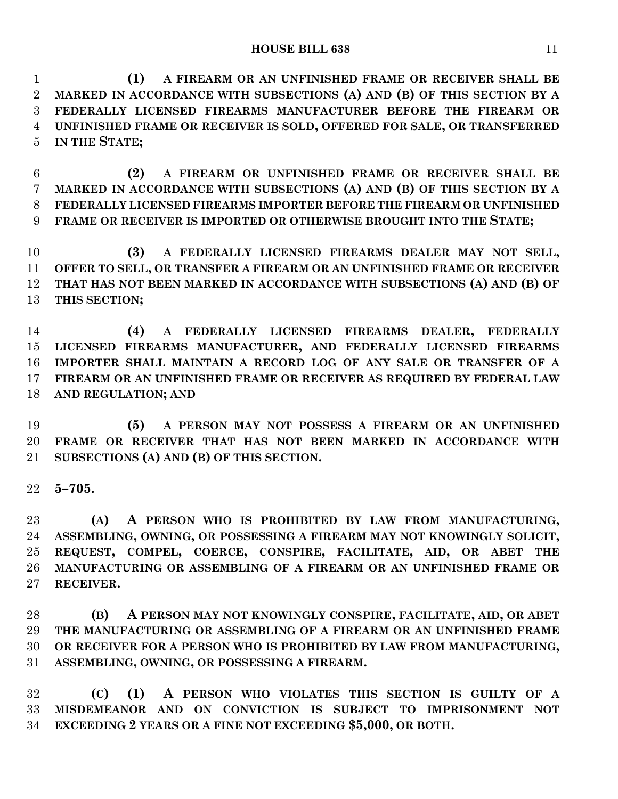**(1) A FIREARM OR AN UNFINISHED FRAME OR RECEIVER SHALL BE MARKED IN ACCORDANCE WITH SUBSECTIONS (A) AND (B) OF THIS SECTION BY A FEDERALLY LICENSED FIREARMS MANUFACTURER BEFORE THE FIREARM OR UNFINISHED FRAME OR RECEIVER IS SOLD, OFFERED FOR SALE, OR TRANSFERRED IN THE STATE;**

 **(2) A FIREARM OR UNFINISHED FRAME OR RECEIVER SHALL BE MARKED IN ACCORDANCE WITH SUBSECTIONS (A) AND (B) OF THIS SECTION BY A FEDERALLY LICENSED FIREARMS IMPORTER BEFORE THE FIREARM OR UNFINISHED FRAME OR RECEIVER IS IMPORTED OR OTHERWISE BROUGHT INTO THE STATE;**

 **(3) A FEDERALLY LICENSED FIREARMS DEALER MAY NOT SELL, OFFER TO SELL, OR TRANSFER A FIREARM OR AN UNFINISHED FRAME OR RECEIVER THAT HAS NOT BEEN MARKED IN ACCORDANCE WITH SUBSECTIONS (A) AND (B) OF THIS SECTION;**

 **(4) A FEDERALLY LICENSED FIREARMS DEALER, FEDERALLY LICENSED FIREARMS MANUFACTURER, AND FEDERALLY LICENSED FIREARMS IMPORTER SHALL MAINTAIN A RECORD LOG OF ANY SALE OR TRANSFER OF A FIREARM OR AN UNFINISHED FRAME OR RECEIVER AS REQUIRED BY FEDERAL LAW AND REGULATION; AND**

 **(5) A PERSON MAY NOT POSSESS A FIREARM OR AN UNFINISHED FRAME OR RECEIVER THAT HAS NOT BEEN MARKED IN ACCORDANCE WITH SUBSECTIONS (A) AND (B) OF THIS SECTION.**

**5–705.**

 **(A) A PERSON WHO IS PROHIBITED BY LAW FROM MANUFACTURING, ASSEMBLING, OWNING, OR POSSESSING A FIREARM MAY NOT KNOWINGLY SOLICIT, REQUEST, COMPEL, COERCE, CONSPIRE, FACILITATE, AID, OR ABET THE MANUFACTURING OR ASSEMBLING OF A FIREARM OR AN UNFINISHED FRAME OR RECEIVER.**

 **(B) A PERSON MAY NOT KNOWINGLY CONSPIRE, FACILITATE, AID, OR ABET THE MANUFACTURING OR ASSEMBLING OF A FIREARM OR AN UNFINISHED FRAME OR RECEIVER FOR A PERSON WHO IS PROHIBITED BY LAW FROM MANUFACTURING, ASSEMBLING, OWNING, OR POSSESSING A FIREARM.**

 **(C) (1) A PERSON WHO VIOLATES THIS SECTION IS GUILTY OF A MISDEMEANOR AND ON CONVICTION IS SUBJECT TO IMPRISONMENT NOT EXCEEDING 2 YEARS OR A FINE NOT EXCEEDING \$5,000, OR BOTH.**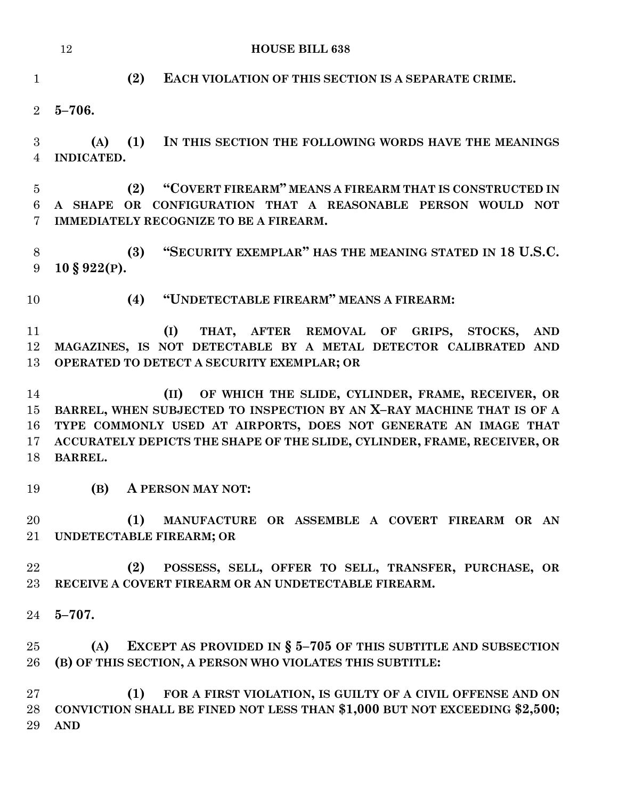|                                       | 12<br><b>HOUSE BILL 638</b>                                                                                                                                                                                                                                                                         |
|---------------------------------------|-----------------------------------------------------------------------------------------------------------------------------------------------------------------------------------------------------------------------------------------------------------------------------------------------------|
| $\mathbf{1}$                          | (2)<br>EACH VIOLATION OF THIS SECTION IS A SEPARATE CRIME.                                                                                                                                                                                                                                          |
| $\overline{2}$                        | $5 - 706.$                                                                                                                                                                                                                                                                                          |
| 3<br>$\overline{4}$                   | (1)<br>(A)<br>IN THIS SECTION THE FOLLOWING WORDS HAVE THE MEANINGS<br>INDICATED.                                                                                                                                                                                                                   |
| $\overline{5}$<br>6<br>$\overline{7}$ | "COVERT FIREARM" MEANS A FIREARM THAT IS CONSTRUCTED IN<br>(2)<br>A SHAPE OR CONFIGURATION THAT A REASONABLE PERSON WOULD NOT<br>IMMEDIATELY RECOGNIZE TO BE A FIREARM.                                                                                                                             |
| $8\,$<br>9                            | "SECURITY EXEMPLAR" HAS THE MEANING STATED IN 18 U.S.C.<br>(3)<br>$10 \text{ }$ § 922(P).                                                                                                                                                                                                           |
| 10                                    | "UNDETECTABLE FIREARM" MEANS A FIREARM:<br>(4)                                                                                                                                                                                                                                                      |
| 11<br>12<br>13                        | (I)<br>THAT, AFTER REMOVAL OF GRIPS, STOCKS, AND<br>MAGAZINES, IS NOT DETECTABLE BY A METAL DETECTOR CALIBRATED AND<br>OPERATED TO DETECT A SECURITY EXEMPLAR; OR                                                                                                                                   |
| 14<br>15<br>16<br>17<br>18            | OF WHICH THE SLIDE, CYLINDER, FRAME, RECEIVER, OR<br>(II)<br>BARREL, WHEN SUBJECTED TO INSPECTION BY AN X-RAY MACHINE THAT IS OF A<br>TYPE COMMONLY USED AT AIRPORTS, DOES NOT GENERATE AN IMAGE THAT<br>ACCURATELY DEPICTS THE SHAPE OF THE SLIDE, CYLINDER, FRAME, RECEIVER, OR<br><b>BARREL.</b> |
| 19                                    | (B) A PERSON MAY NOT:                                                                                                                                                                                                                                                                               |
| 20<br>21                              | (1)<br>MANUFACTURE OR ASSEMBLE A COVERT FIREARM OR AN<br>UNDETECTABLE FIREARM; OR                                                                                                                                                                                                                   |
| 22<br>23                              | (2)<br>POSSESS, SELL, OFFER TO SELL, TRANSFER, PURCHASE, OR<br>RECEIVE A COVERT FIREARM OR AN UNDETECTABLE FIREARM.                                                                                                                                                                                 |
| 24                                    | $5 - 707$ .                                                                                                                                                                                                                                                                                         |
| 25<br>26                              | EXCEPT AS PROVIDED IN $\S$ 5-705 OF THIS SUBTITLE AND SUBSECTION<br>(A)<br>(B) OF THIS SECTION, A PERSON WHO VIOLATES THIS SUBTITLE:                                                                                                                                                                |
| 27<br>28<br>29                        | (1)<br>FOR A FIRST VIOLATION, IS GUILTY OF A CIVIL OFFENSE AND ON<br>CONVICTION SHALL BE FINED NOT LESS THAN \$1,000 BUT NOT EXCEEDING \$2,500;<br><b>AND</b>                                                                                                                                       |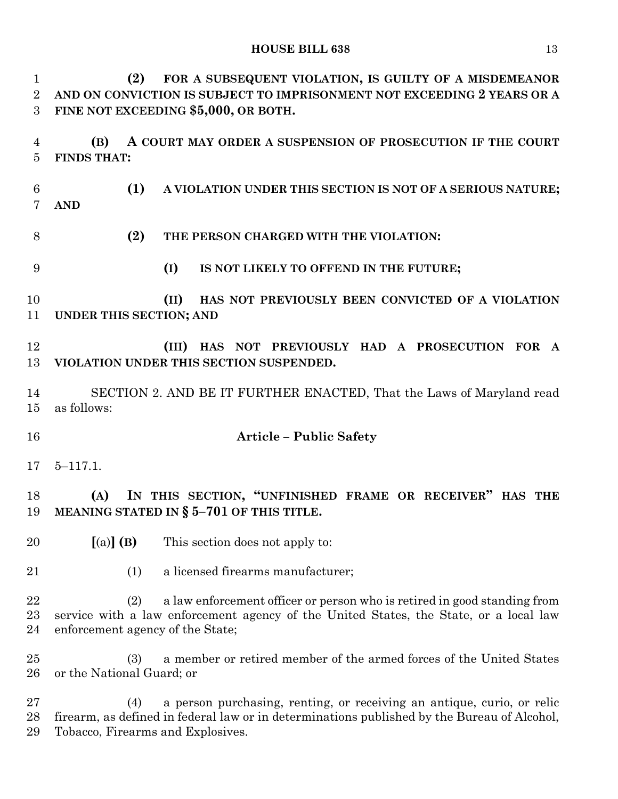| $\mathbf 1$                       | FOR A SUBSEQUENT VIOLATION, IS GUILTY OF A MISDEMEANOR<br>(2)                                                                                                                                                     |  |  |  |  |
|-----------------------------------|-------------------------------------------------------------------------------------------------------------------------------------------------------------------------------------------------------------------|--|--|--|--|
| $\overline{2}$                    | AND ON CONVICTION IS SUBJECT TO IMPRISONMENT NOT EXCEEDING 2 YEARS OR A                                                                                                                                           |  |  |  |  |
| 3                                 | FINE NOT EXCEEDING \$5,000, OR BOTH.                                                                                                                                                                              |  |  |  |  |
| 4<br>$\overline{5}$               | A COURT MAY ORDER A SUSPENSION OF PROSECUTION IF THE COURT<br>(B)<br><b>FINDS THAT:</b>                                                                                                                           |  |  |  |  |
| $6\phantom{.}6$<br>$\overline{7}$ | (1)<br>A VIOLATION UNDER THIS SECTION IS NOT OF A SERIOUS NATURE;<br><b>AND</b>                                                                                                                                   |  |  |  |  |
| 8                                 | (2)<br>THE PERSON CHARGED WITH THE VIOLATION:                                                                                                                                                                     |  |  |  |  |
| 9                                 | (I)<br>IS NOT LIKELY TO OFFEND IN THE FUTURE;                                                                                                                                                                     |  |  |  |  |
| 10<br>11                          | HAS NOT PREVIOUSLY BEEN CONVICTED OF A VIOLATION<br>(II)<br>UNDER THIS SECTION; AND                                                                                                                               |  |  |  |  |
| 12<br>13                          | (III) HAS NOT PREVIOUSLY HAD A PROSECUTION FOR A<br>VIOLATION UNDER THIS SECTION SUSPENDED.                                                                                                                       |  |  |  |  |
| 14<br>15                          | SECTION 2. AND BE IT FURTHER ENACTED, That the Laws of Maryland read<br>as follows:                                                                                                                               |  |  |  |  |
| 16                                | <b>Article - Public Safety</b>                                                                                                                                                                                    |  |  |  |  |
| 17                                | $5 - 117.1$ .                                                                                                                                                                                                     |  |  |  |  |
| 18<br>19                          | IN THIS SECTION, "UNFINISHED FRAME OR RECEIVER" HAS THE<br>(A)<br>MEANING STATED IN $\S$ 5-701 OF THIS TITLE.                                                                                                     |  |  |  |  |
| 20                                | $[(a)]$ $(B)$<br>This section does not apply to:                                                                                                                                                                  |  |  |  |  |
| 21                                | a licensed firearms manufacturer;<br>(1)                                                                                                                                                                          |  |  |  |  |
| 22<br>23<br>24                    | a law enforcement officer or person who is retired in good standing from<br>(2)<br>service with a law enforcement agency of the United States, the State, or a local law<br>enforcement agency of the State;      |  |  |  |  |
| 25<br>26                          | a member or retired member of the armed forces of the United States<br>(3)<br>or the National Guard; or                                                                                                           |  |  |  |  |
| 27<br>28<br>29                    | a person purchasing, renting, or receiving an antique, curio, or relic<br>(4)<br>firearm, as defined in federal law or in determinations published by the Bureau of Alcohol,<br>Tobacco, Firearms and Explosives. |  |  |  |  |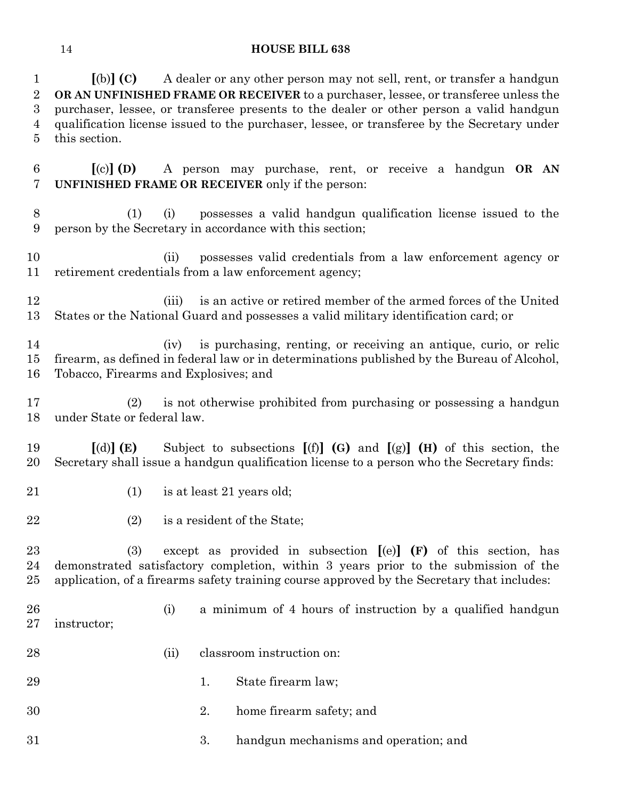**[**(b)**] (C)** A dealer or any other person may not sell, rent, or transfer a handgun **OR AN UNFINISHED FRAME OR RECEIVER** to a purchaser, lessee, or transferee unless the purchaser, lessee, or transferee presents to the dealer or other person a valid handgun qualification license issued to the purchaser, lessee, or transferee by the Secretary under this section.

 **[**(c)**] (D)** A person may purchase, rent, or receive a handgun **OR AN UNFINISHED FRAME OR RECEIVER** only if the person:

- (1) (i) possesses a valid handgun qualification license issued to the person by the Secretary in accordance with this section;
- (ii) possesses valid credentials from a law enforcement agency or retirement credentials from a law enforcement agency;
- (iii) is an active or retired member of the armed forces of the United States or the National Guard and possesses a valid military identification card; or
- (iv) is purchasing, renting, or receiving an antique, curio, or relic firearm, as defined in federal law or in determinations published by the Bureau of Alcohol, Tobacco, Firearms and Explosives; and
- (2) is not otherwise prohibited from purchasing or possessing a handgun under State or federal law.
- **[**(d)**] (E)** Subject to subsections **[**(f)**] (G)** and **[**(g)**] (H)** of this section, the Secretary shall issue a handgun qualification license to a person who the Secretary finds:
- 21 (1) is at least 21 years old;
- (2) is a resident of the State;

 (3) except as provided in subsection **[**(e)**] (F)** of this section, has demonstrated satisfactory completion, within 3 years prior to the submission of the application, of a firearms safety training course approved by the Secretary that includes:

- (i) a minimum of 4 hours of instruction by a qualified handgun instructor;
- (ii) classroom instruction on:
- 29 1. State firearm law;
- 2. home firearm safety; and
- 3. handgun mechanisms and operation; and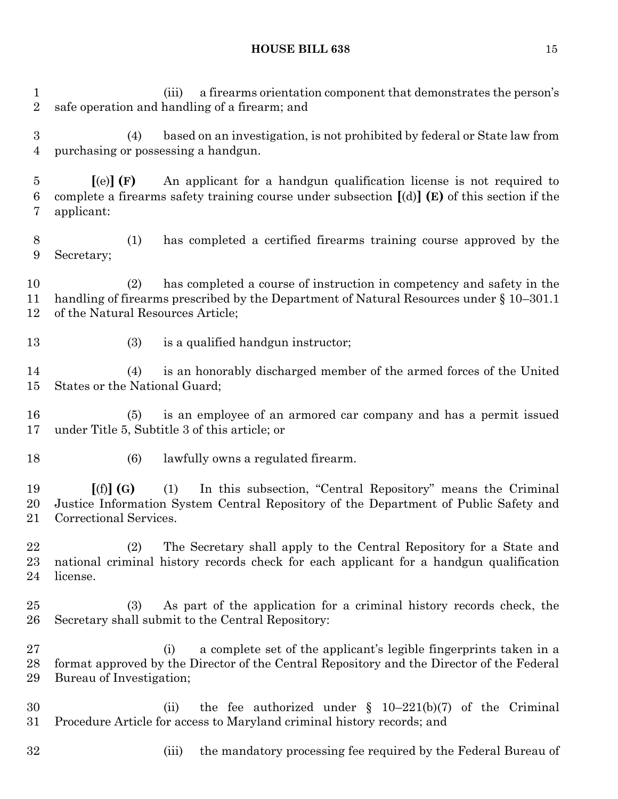(iii) a firearms orientation component that demonstrates the person's safe operation and handling of a firearm; and (4) based on an investigation, is not prohibited by federal or State law from purchasing or possessing a handgun. **[**(e)**] (F)** An applicant for a handgun qualification license is not required to complete a firearms safety training course under subsection **[**(d)**] (E)** of this section if the applicant: (1) has completed a certified firearms training course approved by the Secretary; (2) has completed a course of instruction in competency and safety in the handling of firearms prescribed by the Department of Natural Resources under § 10–301.1 of the Natural Resources Article; 13 (3) is a qualified handgun instructor; (4) is an honorably discharged member of the armed forces of the United States or the National Guard; (5) is an employee of an armored car company and has a permit issued under Title 5, Subtitle 3 of this article; or (6) lawfully owns a regulated firearm. **[**(f)**] (G)** (1) In this subsection, "Central Repository" means the Criminal Justice Information System Central Repository of the Department of Public Safety and Correctional Services. (2) The Secretary shall apply to the Central Repository for a State and national criminal history records check for each applicant for a handgun qualification license. (3) As part of the application for a criminal history records check, the Secretary shall submit to the Central Repository: (i) a complete set of the applicant's legible fingerprints taken in a format approved by the Director of the Central Repository and the Director of the Federal Bureau of Investigation; (ii) the fee authorized under § 10–221(b)(7) of the Criminal Procedure Article for access to Maryland criminal history records; and 32 (iii) the mandatory processing fee required by the Federal Bureau of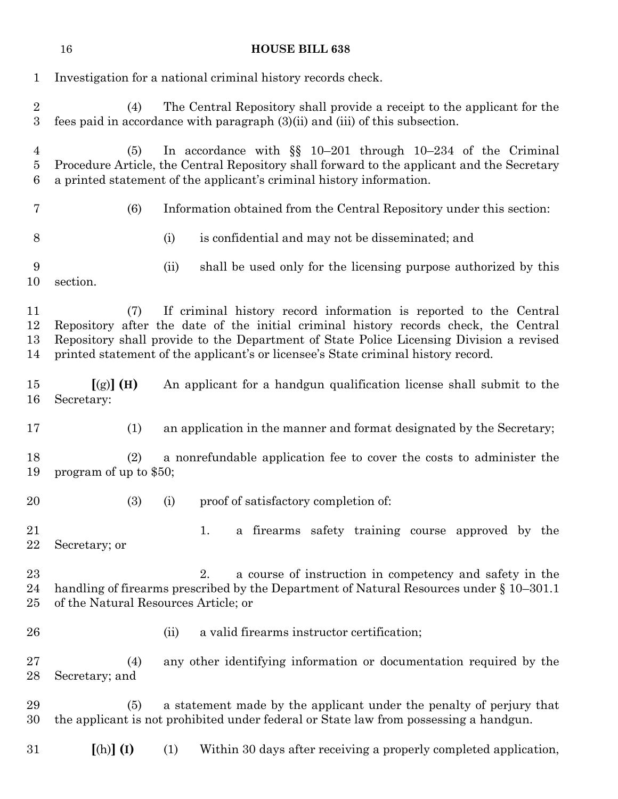|                                    | 16                                                           |      | <b>HOUSE BILL 638</b>                                                                                                                                                                                                                                                                                                                     |  |
|------------------------------------|--------------------------------------------------------------|------|-------------------------------------------------------------------------------------------------------------------------------------------------------------------------------------------------------------------------------------------------------------------------------------------------------------------------------------------|--|
| $\mathbf 1$                        | Investigation for a national criminal history records check. |      |                                                                                                                                                                                                                                                                                                                                           |  |
| $\overline{2}$<br>$\boldsymbol{3}$ | (4)                                                          |      | The Central Repository shall provide a receipt to the applicant for the<br>fees paid in accordance with paragraph (3)(ii) and (iii) of this subsection.                                                                                                                                                                                   |  |
| 4<br>5<br>6                        | (5)                                                          |      | In accordance with $\S$ 10-201 through 10-234 of the Criminal<br>Procedure Article, the Central Repository shall forward to the applicant and the Secretary<br>a printed statement of the applicant's criminal history information.                                                                                                       |  |
| 7                                  | (6)                                                          |      | Information obtained from the Central Repository under this section:                                                                                                                                                                                                                                                                      |  |
| 8                                  |                                                              | (i)  | is confidential and may not be disseminated; and                                                                                                                                                                                                                                                                                          |  |
| 9<br>10                            | section.                                                     | (ii) | shall be used only for the licensing purpose authorized by this                                                                                                                                                                                                                                                                           |  |
| 11<br>12<br>13<br>14               | (7)                                                          |      | If criminal history record information is reported to the Central<br>Repository after the date of the initial criminal history records check, the Central<br>Repository shall provide to the Department of State Police Licensing Division a revised<br>printed statement of the applicant's or licensee's State criminal history record. |  |
| 15<br>16                           | $[(g)]$ (H)<br>Secretary:                                    |      | An applicant for a handgun qualification license shall submit to the                                                                                                                                                                                                                                                                      |  |
| 17                                 | (1)                                                          |      | an application in the manner and format designated by the Secretary;                                                                                                                                                                                                                                                                      |  |
| 18<br>19                           | (2)<br>program of up to \$50;                                |      | a nonrefundable application fee to cover the costs to administer the                                                                                                                                                                                                                                                                      |  |
| 20                                 | (3)                                                          | (i)  | proof of satisfactory completion of:                                                                                                                                                                                                                                                                                                      |  |
| 21<br>22                           | Secretary; or                                                |      | 1.<br>a firearms safety training course approved by the                                                                                                                                                                                                                                                                                   |  |
| $^{23}$<br>24<br>$25\,$            | of the Natural Resources Article; or                         |      | a course of instruction in competency and safety in the<br>2.<br>handling of firearms prescribed by the Department of Natural Resources under $\S 10-301.1$                                                                                                                                                                               |  |
| 26                                 |                                                              | (ii) | a valid firearms instructor certification;                                                                                                                                                                                                                                                                                                |  |
| $27\,$<br>28                       | (4)<br>Secretary; and                                        |      | any other identifying information or documentation required by the                                                                                                                                                                                                                                                                        |  |
| 29<br>30                           | (5)                                                          |      | a statement made by the applicant under the penalty of perjury that<br>the applicant is not prohibited under federal or State law from possessing a handgun.                                                                                                                                                                              |  |
| $31\,$                             | $[(h)]$ $(I)$                                                | (1)  | Within 30 days after receiving a properly completed application,                                                                                                                                                                                                                                                                          |  |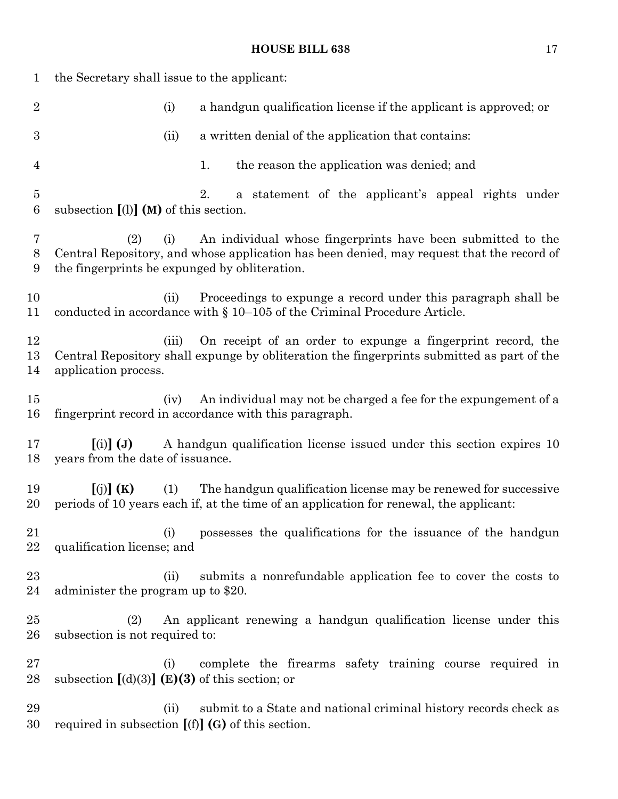| $\mathbf{1}$        | the Secretary shall issue to the applicant:                 |                                                                                                                                                           |
|---------------------|-------------------------------------------------------------|-----------------------------------------------------------------------------------------------------------------------------------------------------------|
| $\overline{2}$      | (i)                                                         | a handgun qualification license if the applicant is approved; or                                                                                          |
| 3                   | (ii)                                                        | a written denial of the application that contains:                                                                                                        |
| $\overline{4}$      |                                                             | the reason the application was denied; and<br>1.                                                                                                          |
| $\overline{5}$<br>6 | subsection $[1]$ (M) of this section.                       | 2.<br>a statement of the applicant's appeal rights under                                                                                                  |
| 7<br>8<br>9         | (2)<br>(i)<br>the fingerprints be expunged by obliteration. | An individual whose fingerprints have been submitted to the<br>Central Repository, and whose application has been denied, may request that the record of  |
| 10<br>11            | (ii)                                                        | Proceedings to expunge a record under this paragraph shall be<br>conducted in accordance with $\S 10-105$ of the Criminal Procedure Article.              |
| 12<br>13<br>14      | (iii)<br>application process.                               | On receipt of an order to expunge a fingerprint record, the<br>Central Repository shall expunge by obliteration the fingerprints submitted as part of the |
| $15\,$<br>16        | (iv)                                                        | An individual may not be charged a fee for the expungement of a<br>fingerprint record in accordance with this paragraph.                                  |
| 17<br>18            | $(i)$ $(j)$<br>years from the date of issuance.             | A handgun qualification license issued under this section expires 10                                                                                      |
| 19<br>20            | $\left[\binom{n}{2} \right]$ (K)<br>(1)                     | The handgun qualification license may be renewed for successive<br>periods of 10 years each if, at the time of an application for renewal, the applicant: |
| 21<br>22            | (i)<br>qualification license; and                           | possesses the qualifications for the issuance of the handgun                                                                                              |
| 23<br>24            | (ii)<br>administer the program up to \$20.                  | submits a nonrefundable application fee to cover the costs to                                                                                             |
| $25\,$<br>$26\,$    | (2)<br>subsection is not required to:                       | An applicant renewing a handgun qualification license under this                                                                                          |
| $27\,$<br>28        | (i)<br>subsection $[(d)(3)]$ (E)(3) of this section; or     | complete the firearms safety training course required in                                                                                                  |
| 29<br>30            | (i)<br>required in subsection $[(f)]$ (G) of this section.  | submit to a State and national criminal history records check as                                                                                          |